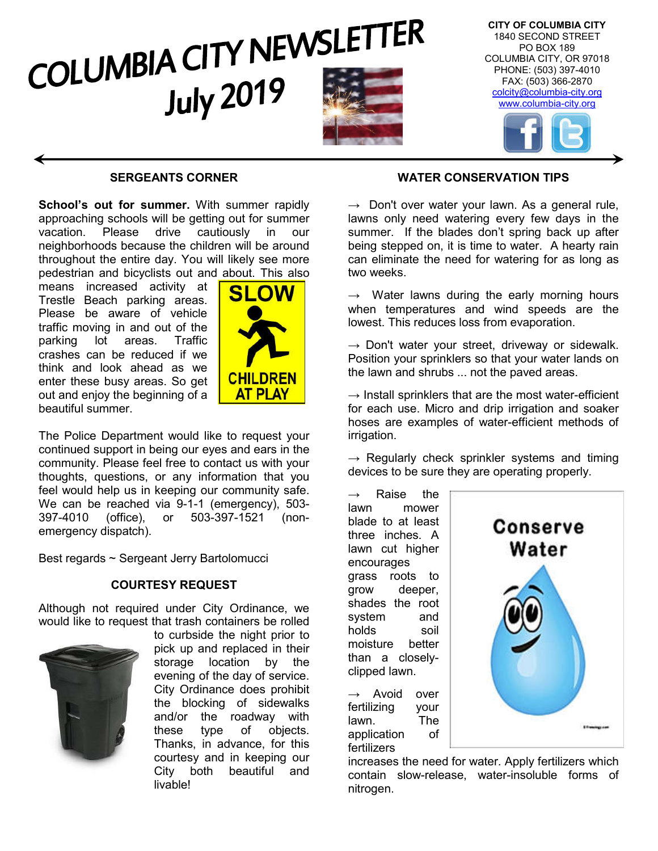

## **SERGEANTS CORNER**

**School's out for summer.** With summer rapidly approaching schools will be getting out for summer<br>vacation. Please drive cautiously in our vacation. Please drive cautiously in our neighborhoods because the children will be around throughout the entire day. You will likely see more pedestrian and bicyclists out and about. This also

means increased activity at Trestle Beach parking areas. Please be aware of vehicle traffic moving in and out of the parking lot areas. Traffic crashes can be reduced if we think and look ahead as we enter these busy areas. So get out and enjoy the beginning of a beautiful summer.



The Police Department would like to request your continued support in being our eyes and ears in the community. Please feel free to contact us with your thoughts, questions, or any information that you feel would help us in keeping our community safe. We can be reached via 9-1-1 (emergency), 503- 397-4010 (office), or 503-397-1521 (nonemergency dispatch).

Best regards ~ Sergeant Jerry Bartolomucci

#### **COURTESY REQUEST**

Although not required under City Ordinance, we would like to request that trash containers be rolled



to curbside the night prior to pick up and replaced in their storage location by the evening of the day of service. City Ordinance does prohibit the blocking of sidewalks and/or the roadway with these type of objects. Thanks, in advance, for this courtesy and in keeping our City both beautiful and livable!

## **WATER CONSERVATION TIPS**

 $\rightarrow$  Don't over water your lawn. As a general rule, lawns only need watering every few days in the summer. If the blades don't spring back up after being stepped on, it is time to water. A hearty rain can eliminate the need for watering for as long as two weeks.

 $\rightarrow$  Water lawns during the early morning hours when temperatures and wind speeds are the lowest. This reduces loss from evaporation.

 $\rightarrow$  Don't water your street, driveway or sidewalk. Position your sprinklers so that your water lands on the lawn and shrubs ... not the paved areas.

 $\rightarrow$  Install sprinklers that are the most water-efficient for each use. Micro and drip irrigation and soaker hoses are examples of water-efficient methods of irrigation.

 $\rightarrow$  Regularly check sprinkler systems and timing devices to be sure they are operating properly.

 $\rightarrow$  Raise the lawn mower blade to at least three inches. A lawn cut higher encourages grass roots to grow deeper, shades the root system and holds soil moisture better than a closelyclipped lawn.

 $\rightarrow$  Avoid over fertilizing your lawn. The application of fertilizers



increases the need for water. Apply fertilizers which contain slow-release, water-insoluble forms of nitrogen.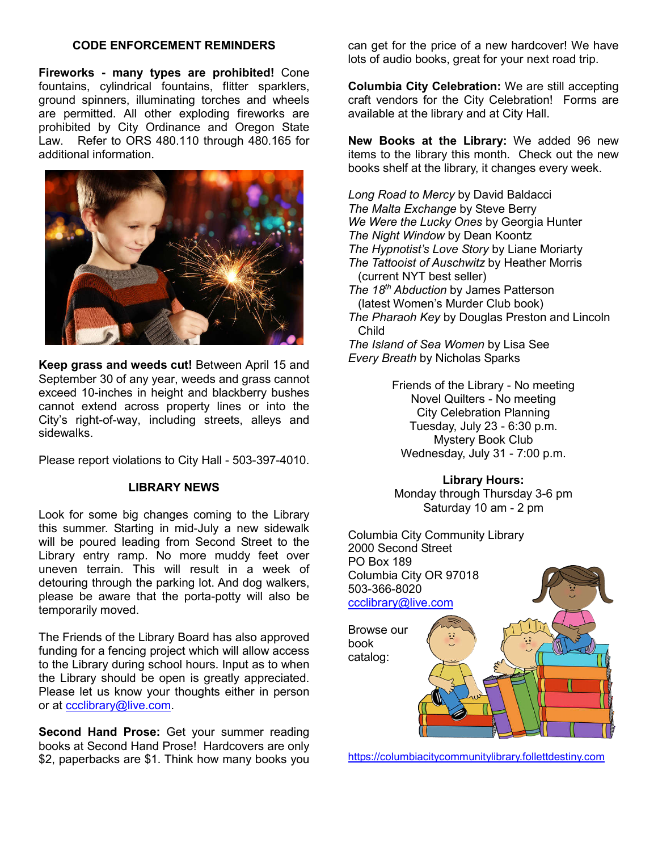#### **CODE ENFORCEMENT REMINDERS**

**Fireworks - many types are prohibited!** Cone fountains, cylindrical fountains, flitter sparklers, ground spinners, illuminating torches and wheels are permitted. All other exploding fireworks are prohibited by City Ordinance and Oregon State Law. Refer to ORS 480.110 through 480.165 for additional information.



**Keep grass and weeds cut!** Between April 15 and September 30 of any year, weeds and grass cannot exceed 10-inches in height and blackberry bushes cannot extend across property lines or into the City's right-of-way, including streets, alleys and sidewalks.

Please report violations to City Hall - 503-397-4010.

## **LIBRARY NEWS**

Look for some big changes coming to the Library this summer. Starting in mid-July a new sidewalk will be poured leading from Second Street to the Library entry ramp. No more muddy feet over uneven terrain. This will result in a week of detouring through the parking lot. And dog walkers, please be aware that the porta-potty will also be temporarily moved.

The Friends of the Library Board has also approved funding for a fencing project which will allow access to the Library during school hours. Input as to when the Library should be open is greatly appreciated. Please let us know your thoughts either in person or at ccclibrary@live.com.

**Second Hand Prose:** Get your summer reading books at Second Hand Prose! Hardcovers are only \$2, paperbacks are \$1. Think how many books you

can get for the price of a new hardcover! We have lots of audio books, great for your next road trip.

**Columbia City Celebration:** We are still accepting craft vendors for the City Celebration! Forms are available at the library and at City Hall.

**New Books at the Library:** We added 96 new items to the library this month. Check out the new books shelf at the library, it changes every week.

*Long Road to Mercy* by David Baldacci *The Malta Exchange* by Steve Berry *We Were the Lucky Ones* by Georgia Hunter *The Night Window* by Dean Koontz *The Hypnotist's Love Story* by Liane Moriarty *The Tattooist of Auschwitz* by Heather Morris (current NYT best seller) *The 18th Abduction* by James Patterson (latest Women's Murder Club book)

*The Pharaoh Key* by Douglas Preston and Lincoln Child

*The Island of Sea Women* by Lisa See *Every Breath* by Nicholas Sparks

> Friends of the Library - No meeting Novel Quilters - No meeting City Celebration Planning Tuesday, July 23 - 6:30 p.m. Mystery Book Club Wednesday, July 31 - 7:00 p.m.

> > **Library Hours:**

Monday through Thursday 3-6 pm Saturday 10 am - 2 pm



https://columbiacitycommunitylibrary.follettdestiny.com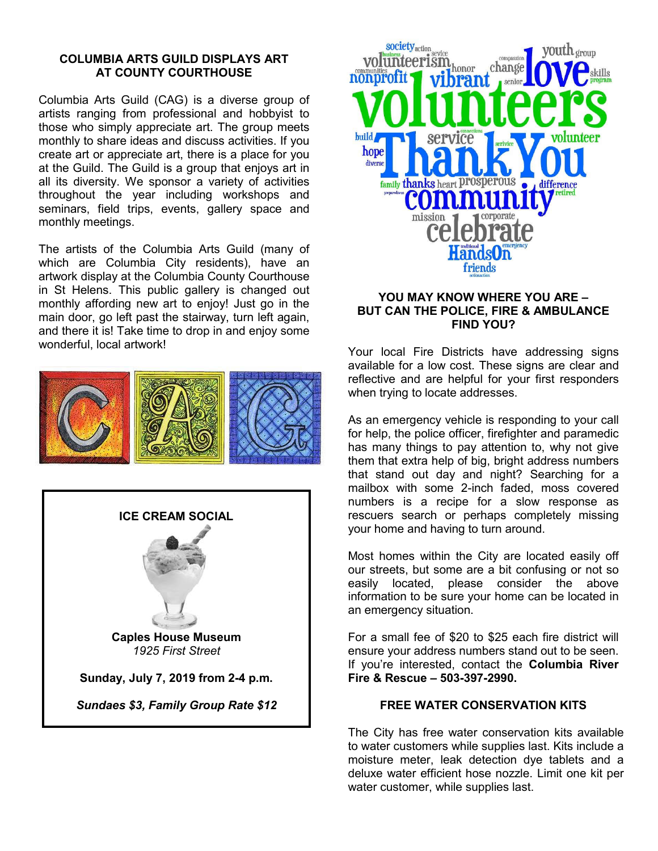#### **COLUMBIA ARTS GUILD DISPLAYS ART AT COUNTY COURTHOUSE**

Columbia Arts Guild (CAG) is a diverse group of artists ranging from professional and hobbyist to those who simply appreciate art. The group meets monthly to share ideas and discuss activities. If you create art or appreciate art, there is a place for you at the Guild. The Guild is a group that enjoys art in all its diversity. We sponsor a variety of activities throughout the year including workshops and seminars, field trips, events, gallery space and monthly meetings.

The artists of the Columbia Arts Guild (many of which are Columbia City residents), have an artwork display at the Columbia County Courthouse in St Helens. This public gallery is changed out monthly affording new art to enjoy! Just go in the main door, go left past the stairway, turn left again, and there it is! Take time to drop in and enjoy some wonderful, local artwork!







## **YOU MAY KNOW WHERE YOU ARE – BUT CAN THE POLICE, FIRE & AMBULANCE FIND YOU?**

Your local Fire Districts have addressing signs available for a low cost. These signs are clear and reflective and are helpful for your first responders when trying to locate addresses.

As an emergency vehicle is responding to your call for help, the police officer, firefighter and paramedic has many things to pay attention to, why not give them that extra help of big, bright address numbers that stand out day and night? Searching for a mailbox with some 2-inch faded, moss covered numbers is a recipe for a slow response as rescuers search or perhaps completely missing your home and having to turn around.

Most homes within the City are located easily off our streets, but some are a bit confusing or not so easily located, please consider the above information to be sure your home can be located in an emergency situation.

For a small fee of \$20 to \$25 each fire district will ensure your address numbers stand out to be seen. If you're interested, contact the **Columbia River Fire & Rescue – 503-397-2990.**

## **FREE WATER CONSERVATION KITS**

The City has free water conservation kits available to water customers while supplies last. Kits include a moisture meter, leak detection dye tablets and a deluxe water efficient hose nozzle. Limit one kit per water customer, while supplies last.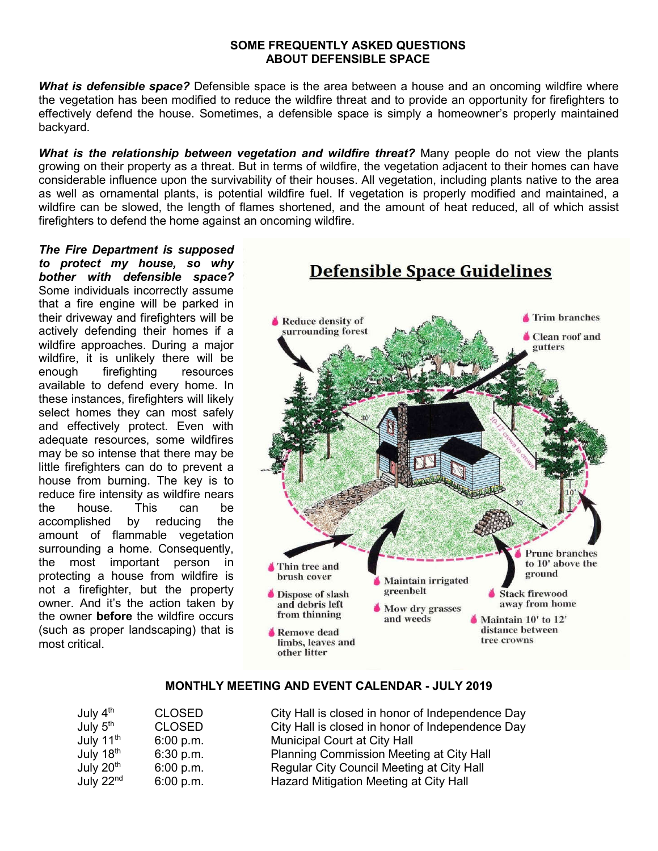#### **SOME FREQUENTLY ASKED QUESTIONS ABOUT DEFENSIBLE SPACE**

*What is defensible space?* Defensible space is the area between a house and an oncoming wildfire where the vegetation has been modified to reduce the wildfire threat and to provide an opportunity for firefighters to effectively defend the house. Sometimes, a defensible space is simply a homeowner's properly maintained backyard.

*What is the relationship between vegetation and wildfire threat?* Many people do not view the plants growing on their property as a threat. But in terms of wildfire, the vegetation adjacent to their homes can have considerable influence upon the survivability of their houses. All vegetation, including plants native to the area as well as ornamental plants, is potential wildfire fuel. If vegetation is properly modified and maintained, a wildfire can be slowed, the length of flames shortened, and the amount of heat reduced, all of which assist firefighters to defend the home against an oncoming wildfire.

*The Fire Department is supposed to protect my house, so why bother with defensible space?*  Some individuals incorrectly assume that a fire engine will be parked in their driveway and firefighters will be actively defending their homes if a wildfire approaches. During a major wildfire, it is unlikely there will be enough firefighting resources available to defend every home. In these instances, firefighters will likely select homes they can most safely and effectively protect. Even with adequate resources, some wildfires may be so intense that there may be little firefighters can do to prevent a house from burning. The key is to reduce fire intensity as wildfire nears the house. This can be accomplished by reducing the amount of flammable vegetation surrounding a home. Consequently, the most important person in protecting a house from wildfire is not a firefighter, but the property owner. And it's the action taken by the owner **before** the wildfire occurs (such as proper landscaping) that is most critical.



## **MONTHLY MEETING AND EVENT CALENDAR - JULY 2019**

| July 4 <sup>th</sup>  | <b>CLOSED</b> | City Hall is closed in honor of Independence Day |
|-----------------------|---------------|--------------------------------------------------|
| July 5 <sup>th</sup>  | <b>CLOSED</b> | City Hall is closed in honor of Independence Day |
| July 11 <sup>th</sup> | 6:00 p.m.     | Municipal Court at City Hall                     |
| July 18th             | 6:30 p.m.     | Planning Commission Meeting at City Hall         |
| July 20 <sup>th</sup> | 6:00 p.m.     | Regular City Council Meeting at City Hall        |
| July 22 <sup>nd</sup> | 6:00 p.m.     | Hazard Mitigation Meeting at City Hall           |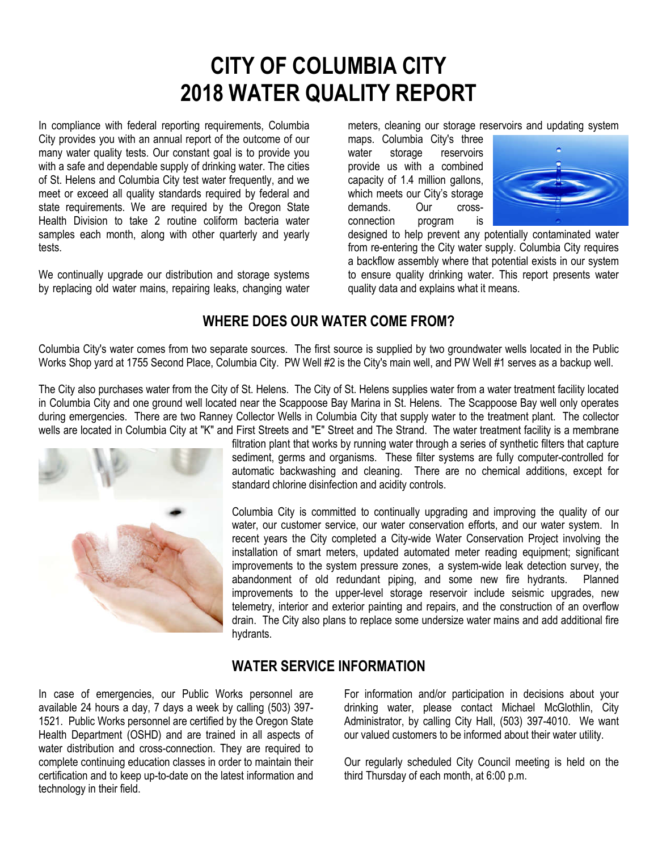# **CITY OF COLUMBIA CITY 2018 WATER QUALITY REPORT**

In compliance with federal reporting requirements, Columbia City provides you with an annual report of the outcome of our many water quality tests. Our constant goal is to provide you with a safe and dependable supply of drinking water. The cities of St. Helens and Columbia City test water frequently, and we meet or exceed all quality standards required by federal and state requirements. We are required by the Oregon State Health Division to take 2 routine coliform bacteria water samples each month, along with other quarterly and yearly tests.

We continually upgrade our distribution and storage systems by replacing old water mains, repairing leaks, changing water meters, cleaning our storage reservoirs and updating system

maps. Columbia City's three water storage reservoirs provide us with a combined capacity of 1.4 million gallons, which meets our City's storage demands. Our crossconnection program is



designed to help prevent any potentially contaminated water from re-entering the City water supply. Columbia City requires a backflow assembly where that potential exists in our system to ensure quality drinking water. This report presents water quality data and explains what it means.

# **WHERE DOES OUR WATER COME FROM?**

Columbia City's water comes from two separate sources. The first source is supplied by two groundwater wells located in the Public Works Shop yard at 1755 Second Place, Columbia City. PW Well #2 is the City's main well, and PW Well #1 serves as a backup well.

The City also purchases water from the City of St. Helens. The City of St. Helens supplies water from a water treatment facility located in Columbia City and one ground well located near the Scappoose Bay Marina in St. Helens. The Scappoose Bay well only operates during emergencies. There are two Ranney Collector Wells in Columbia City that supply water to the treatment plant. The collector wells are located in Columbia City at "K" and First Streets and "E" Street and The Strand. The water treatment facility is a membrane



filtration plant that works by running water through a series of synthetic filters that capture sediment, germs and organisms. These filter systems are fully computer-controlled for automatic backwashing and cleaning. There are no chemical additions, except for standard chlorine disinfection and acidity controls.

Columbia City is committed to continually upgrading and improving the quality of our water, our customer service, our water conservation efforts, and our water system. In recent years the City completed a City-wide Water Conservation Project involving the installation of smart meters, updated automated meter reading equipment; significant improvements to the system pressure zones, a system-wide leak detection survey, the abandonment of old redundant piping, and some new fire hydrants. Planned improvements to the upper-level storage reservoir include seismic upgrades, new telemetry, interior and exterior painting and repairs, and the construction of an overflow drain. The City also plans to replace some undersize water mains and add additional fire hydrants.

## **WATER SERVICE INFORMATION**

In case of emergencies, our Public Works personnel are available 24 hours a day, 7 days a week by calling (503) 397- 1521. Public Works personnel are certified by the Oregon State Health Department (OSHD) and are trained in all aspects of water distribution and cross-connection. They are required to complete continuing education classes in order to maintain their certification and to keep up-to-date on the latest information and technology in their field.

For information and/or participation in decisions about your drinking water, please contact Michael McGlothlin, City Administrator, by calling City Hall, (503) 397-4010. We want our valued customers to be informed about their water utility.

Our regularly scheduled City Council meeting is held on the third Thursday of each month, at 6:00 p.m.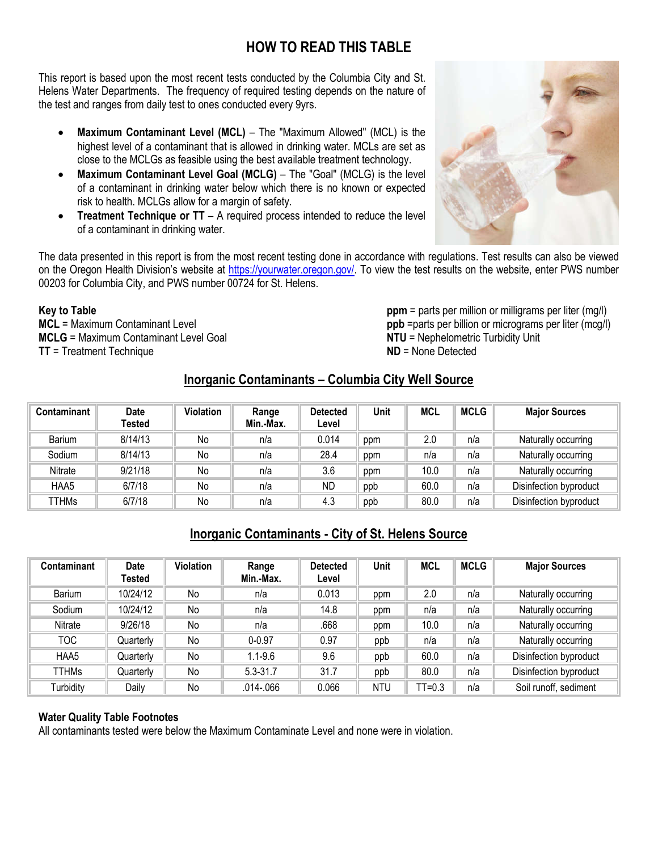# **HOW TO READ THIS TABLE**

This report is based upon the most recent tests conducted by the Columbia City and St. Helens Water Departments. The frequency of required testing depends on the nature of the test and ranges from daily test to ones conducted every 9yrs.

- **Maximum Contaminant Level (MCL)** The "Maximum Allowed" (MCL) is the highest level of a contaminant that is allowed in drinking water. MCLs are set as close to the MCLGs as feasible using the best available treatment technology.
- **Maximum Contaminant Level Goal (MCLG)** The "Goal" (MCLG) is the level of a contaminant in drinking water below which there is no known or expected risk to health. MCLGs allow for a margin of safety.
- **Treatment Technique or TT** A required process intended to reduce the level of a contaminant in drinking water.

The data presented in this report is from the most recent testing done in accordance with regulations. Test results can also be viewed on the Oregon Health Division's website at https://yourwater.oregon.gov/. To view the test results on the website, enter PWS number 00203 for Columbia City, and PWS number 00724 for St. Helens.

#### **Key to Table**

**MCL** = Maximum Contaminant Level **MCLG** = Maximum Contaminant Level Goal **TT** = Treatment Technique

**ppm** = parts per million or milligrams per liter (mg/l) **ppb** =parts per billion or micrograms per liter (mcg/l) **NTU** = Nephelometric Turbidity Unit **ND** = None Detected

## **Inorganic Contaminants – Columbia City Well Source**

| Contaminant   | <b>Date</b><br>Tested | <b>Violation</b> | Range<br>Min.-Max. | <b>Detected</b><br>Level | Unit | MCL  | <b>MCLG</b> | <b>Major Sources</b>   |
|---------------|-----------------------|------------------|--------------------|--------------------------|------|------|-------------|------------------------|
| <b>Barium</b> | 8/14/13               | No               | n/a                | 0.014                    | ppm  | 2.0  | n/a         | Naturally occurring    |
| Sodium        | 8/14/13               | No               | n/a                | 28.4                     | ppm  | n/a  | n/a         | Naturally occurring    |
| Nitrate       | 9/21/18               | No               | n/a                | 3.6                      | ppm  | 10.0 | n/a         | Naturally occurring    |
| HAA5          | 6/7/18                | No               | n/a                | <b>ND</b>                | ppb  | 60.0 | n/a         | Disinfection byproduct |
| TTHMs         | 6/7/18                | No               | n/a                | 4.3                      | ppb  | 80.0 | n/a         | Disinfection byproduct |

## **Inorganic Contaminants - City of St. Helens Source**

| Contaminant  | <b>Date</b><br>Tested | <b>Violation</b> | Range<br>Min.-Max. | <b>Detected</b><br>Level | Unit       | <b>MCL</b> | <b>MCLG</b> | <b>Major Sources</b>   |
|--------------|-----------------------|------------------|--------------------|--------------------------|------------|------------|-------------|------------------------|
| Barium       | 10/24/12              | No               | n/a                | 0.013                    | ppm        | 2.0        | n/a         | Naturally occurring    |
| Sodium       | 10/24/12              | No               | n/a                | 14.8                     | ppm        | n/a        | n/a         | Naturally occurring    |
| Nitrate      | 9/26/18               | No               | n/a                | .668                     | ppm        | 10.0       | n/a         | Naturally occurring    |
| тос          | Quarterly             | No               | $0 - 0.97$         | 0.97                     | ppb        | n/a        | n/a         | Naturally occurring    |
| HAA5         | Quarterly             | No               | $1.1 - 9.6$        | 9.6                      | ppb        | 60.0       | n/a         | Disinfection byproduct |
| <b>TTHMs</b> | Quarterly             | No               | $5.3 - 31.7$       | 31.7                     | ppb        | 80.0       | n/a         | Disinfection byproduct |
| Turbidity    | Daily                 | No               | $.014 - .066$      | 0.066                    | <b>NTU</b> | $TT=0.3$   | n/a         | Soil runoff, sediment  |

## **Water Quality Table Footnotes**

All contaminants tested were below the Maximum Contaminate Level and none were in violation.

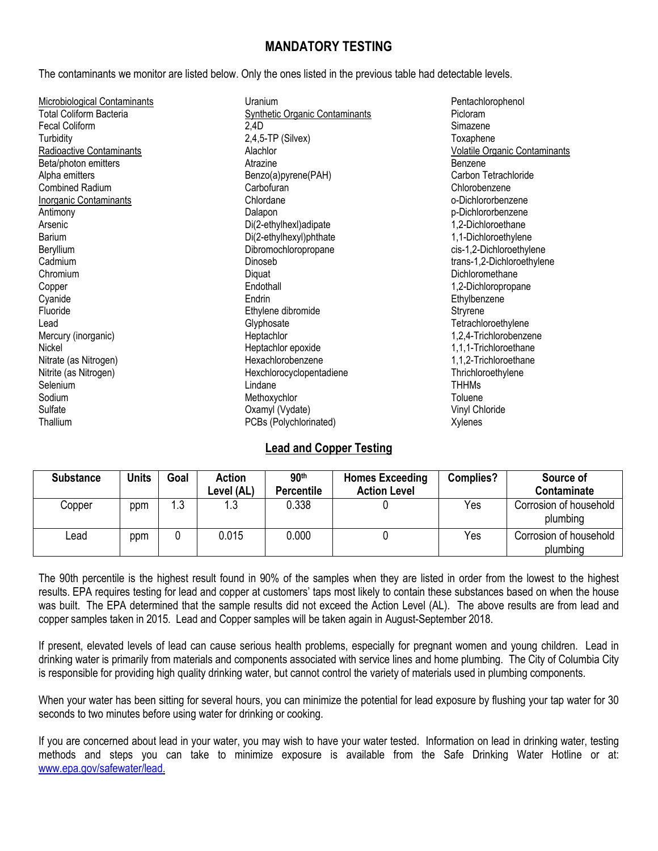## **MANDATORY TESTING**

The contaminants we monitor are listed below. Only the ones listed in the previous table had detectable levels.

| <b>Microbiological Contaminants</b> | Uranium                               | Pentachlorophenol                    |
|-------------------------------------|---------------------------------------|--------------------------------------|
| <b>Total Coliform Bacteria</b>      | <b>Synthetic Organic Contaminants</b> | Picloram                             |
| <b>Fecal Coliform</b>               | 2,4D                                  | Simazene                             |
| Turbidity                           | $2,4,5$ -TP (Silvex)                  | Toxaphene                            |
| Radioactive Contaminants            | Alachlor                              | <b>Volatile Organic Contaminants</b> |
| Beta/photon emitters                | Atrazine                              | Benzene                              |
| Alpha emitters                      | Benzo(a)pyrene(PAH)                   | Carbon Tetrachloride                 |
| <b>Combined Radium</b>              | Carbofuran                            | Chlorobenzene                        |
| <b>Inorganic Contaminants</b>       | Chlordane                             | o-Dichlororbenzene                   |
| Antimony                            | Dalapon                               | p-Dichlororbenzene                   |
| Arsenic                             | Di(2-ethylhexl)adipate                | 1,2-Dichloroethane                   |
| Barium                              | Di(2-ethylhexyl)phthate               | 1,1-Dichloroethylene                 |
| Beryllium                           | Dibromochloropropane                  | cis-1,2-Dichloroethylene             |
| Cadmium                             | Dinoseb                               | trans-1,2-Dichloroethylene           |
| Chromium                            | Diquat                                | Dichloromethane                      |
| Copper                              | Endothall                             | 1,2-Dichloropropane                  |
| Cyanide                             | Endrin                                | Ethylbenzene                         |
| Fluoride                            | Ethylene dibromide                    | Stryrene                             |
| Lead                                | Glyphosate                            | Tetrachloroethylene                  |
| Mercury (inorganic)                 | Heptachlor                            | 1,2,4-Trichlorobenzene               |
| Nickel                              | Heptachlor epoxide                    | 1,1,1-Trichloroethane                |
| Nitrate (as Nitrogen)               | Hexachlorobenzene                     | 1,1,2-Trichloroethane                |
| Nitrite (as Nitrogen)               | Hexchlorocyclopentadiene              | Thrichloroethylene                   |
| Selenium                            | Lindane                               | <b>THHMs</b>                         |
| Sodium                              | Methoxychlor                          | Toluene                              |
| Sulfate                             | Oxamyl (Vydate)                       | Vinyl Chloride                       |
| Thallium                            | PCBs (Polychlorinated)                | Xylenes                              |

## **Lead and Copper Testing**

| <b>Substance</b> | <b>Units</b> | Goal | <b>Action</b><br>Level (AL) | 90 <sup>th</sup><br><b>Percentile</b> | <b>Homes Exceeding</b><br><b>Action Level</b> | Complies? | Source of<br>Contaminate           |
|------------------|--------------|------|-----------------------------|---------------------------------------|-----------------------------------------------|-----------|------------------------------------|
| Copper           | ppm          | 1.3  | ل. ا                        | 0.338                                 |                                               | Yes       | Corrosion of household<br>plumbing |
| Lead             | ppm          |      | 0.015                       | 0.000                                 |                                               | Yes       | Corrosion of household<br>plumbing |

The 90th percentile is the highest result found in 90% of the samples when they are listed in order from the lowest to the highest results. EPA requires testing for lead and copper at customers' taps most likely to contain these substances based on when the house was built. The EPA determined that the sample results did not exceed the Action Level (AL). The above results are from lead and copper samples taken in 2015. Lead and Copper samples will be taken again in August-September 2018.

If present, elevated levels of lead can cause serious health problems, especially for pregnant women and young children. Lead in drinking water is primarily from materials and components associated with service lines and home plumbing. The City of Columbia City is responsible for providing high quality drinking water, but cannot control the variety of materials used in plumbing components.

When your water has been sitting for several hours, you can minimize the potential for lead exposure by flushing your tap water for 30 seconds to two minutes before using water for drinking or cooking.

If you are concerned about lead in your water, you may wish to have your water tested. Information on lead in drinking water, testing methods and steps you can take to minimize exposure is available from the Safe Drinking Water Hotline or at: www.epa.gov/safewater/lead.